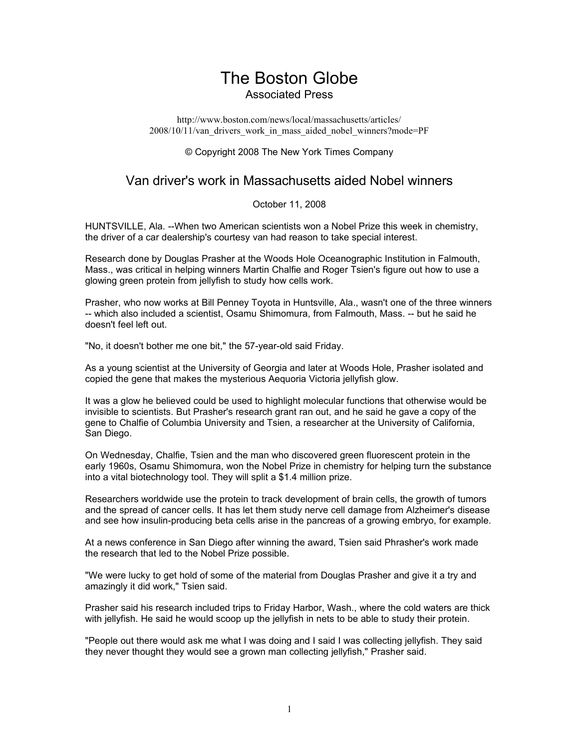## The Boston Globe Associated Press

http://www.boston.com/news/local/massachusetts/articles/ 2008/10/11/van\_drivers\_work\_in\_mass\_aided\_nobel\_winners?mode=PF

© Copyright 2008 The New York Times Company

## Van driver's work in Massachusetts aided Nobel winners

October 11, 2008

HUNTSVILLE, Ala. --When two American scientists won a Nobel Prize this week in chemistry, the driver of a car dealership's courtesy van had reason to take special interest.

Research done by Douglas Prasher at the Woods Hole Oceanographic Institution in Falmouth, Mass., was critical in helping winners Martin Chalfie and Roger Tsien's figure out how to use a glowing green protein from jellyfish to study how cells work.

Prasher, who now works at Bill Penney Toyota in Huntsville, Ala., wasn't one of the three winners -- which also included a scientist, Osamu Shimomura, from Falmouth, Mass. -- but he said he doesn't feel left out.

"No, it doesn't bother me one bit," the 57-year-old said Friday.

As a young scientist at the University of Georgia and later at Woods Hole, Prasher isolated and copied the gene that makes the mysterious Aequoria Victoria jellyfish glow.

It was a glow he believed could be used to highlight molecular functions that otherwise would be invisible to scientists. But Prasher's research grant ran out, and he said he gave a copy of the gene to Chalfie of Columbia University and Tsien, a researcher at the University of California, San Diego.

On Wednesday, Chalfie, Tsien and the man who discovered green fluorescent protein in the early 1960s, Osamu Shimomura, won the Nobel Prize in chemistry for helping turn the substance into a vital biotechnology tool. They will split a \$1.4 million prize.

Researchers worldwide use the protein to track development of brain cells, the growth of tumors and the spread of cancer cells. It has let them study nerve cell damage from Alzheimer's disease and see how insulin-producing beta cells arise in the pancreas of a growing embryo, for example.

At a news conference in San Diego after winning the award, Tsien said Phrasher's work made the research that led to the Nobel Prize possible.

"We were lucky to get hold of some of the material from Douglas Prasher and give it a try and amazingly it did work," Tsien said.

Prasher said his research included trips to Friday Harbor, Wash., where the cold waters are thick with jellyfish. He said he would scoop up the jellyfish in nets to be able to study their protein.

"People out there would ask me what I was doing and I said I was collecting jellyfish. They said they never thought they would see a grown man collecting jellyfish," Prasher said.